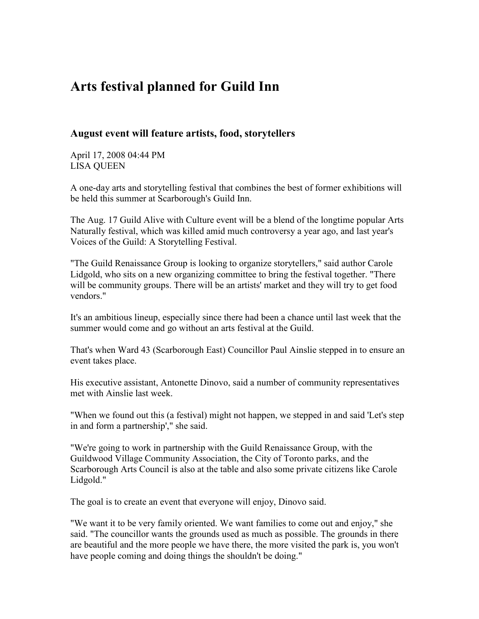## Arts festival planned for Guild Inn

## August event will feature artists, food, storytellers

April 17, 2008 04:44 PM LISA QUEEN

A one-day arts and storytelling festival that combines the best of former exhibitions will be held this summer at Scarborough's Guild Inn.

The Aug. 17 Guild Alive with Culture event will be a blend of the longtime popular Arts Naturally festival, which was killed amid much controversy a year ago, and last year's Voices of the Guild: A Storytelling Festival.

"The Guild Renaissance Group is looking to organize storytellers," said author Carole Lidgold, who sits on a new organizing committee to bring the festival together. "There will be community groups. There will be an artists' market and they will try to get food vendors."

It's an ambitious lineup, especially since there had been a chance until last week that the summer would come and go without an arts festival at the Guild.

That's when Ward 43 (Scarborough East) Councillor Paul Ainslie stepped in to ensure an event takes place.

His executive assistant, Antonette Dinovo, said a number of community representatives met with Ainslie last week.

"When we found out this (a festival) might not happen, we stepped in and said 'Let's step in and form a partnership'," she said.

"We're going to work in partnership with the Guild Renaissance Group, with the Guildwood Village Community Association, the City of Toronto parks, and the Scarborough Arts Council is also at the table and also some private citizens like Carole Lidgold."

The goal is to create an event that everyone will enjoy, Dinovo said.

"We want it to be very family oriented. We want families to come out and enjoy," she said. "The councillor wants the grounds used as much as possible. The grounds in there are beautiful and the more people we have there, the more visited the park is, you won't have people coming and doing things the shouldn't be doing."